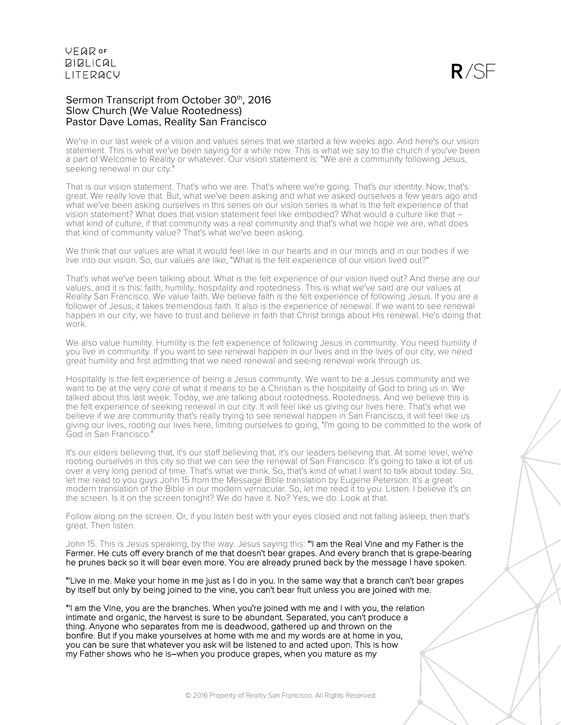### Sermon Transcript from October 30th, 2016 Slow Church (We Value Rootedness) Pastor Dave Lomas, Reality San Francisco

We're in our last week of a vision and values series that we started a few weeks ago. And here's our vision statement. This is what we've been saying for a while now. This is what we say to the church if you've been a part of Welcome to Reality or whatever. Our vision statement is: "We are a community following Jesus, seeking renewal in our city."

That is our vision statement. That's who we are. That's where we're going. That's our identity. Now, that's great. We really love that. But, what we've been asking and what we asked ourselves a few years ago and what we've been asking ourselves in this series on our vision series is what is the felt experience of that vision statement? What does that vision statement feel like embodied? What would a culture like that – what kind of culture, if that community was a real community and that's what we hope we are, what does that kind of community value? That's what we've been asking.

We think that our values are what it would feel like in our hearts and in our minds and in our bodies if we live into our vision. So, our values are like, "What is the felt experience of our vision lived out?"

That's what we've been talking about. What is the felt experience of our vision lived out? And these are our values, and it is this: faith, humility, hospitality and rootedness. This is what we've said are our values at Reality San Francisco. We value faith. We believe faith is the felt experience of following Jesus. If you are a follower of Jesus, it takes tremendous faith. It also is the experience of renewal. If we want to see renewal happen in our city, we have to trust and believe in faith that Christ brings about His renewal. He's doing that work.

We also value humility. Humility is the felt experience of following Jesus in community. You need humility if you live in community. If you want to see renewal happen in our lives and in the lives of our city, we need great humility and first admitting that we need renewal and seeing renewal work through us.

Hospitality is the felt experience of being a Jesus community. We want to be a Jesus community and we want to be at the very core of what it means to be a Christian is the hospitality of God to bring us in. We talked about this last week. Today, we are talking about rootedness. Rootedness. And we believe this is the felt experience of seeking renewal in our city. It will feel like us giving our lives here. That's what we believe if we are community that's really trying to see renewal happen in San Francisco, it will feel like us giving our lives, rooting our lives here, limiting ourselves to going, "I'm going to be committed to the work of God in San Francisco."

It's our elders believing that, it's our staff believing that, it's our leaders believing that. At some level, we're rooting ourselves in this city so that we can see the renewal of San Francisco. It's going to take a lot of us over a very long period of time. That's what we think. So, that's kind of what I want to talk about today. So, let me read to you guys John 15 from the Message Bible translation by Eugene Peterson. It's a great modern translation of the Bible in our modern vernacular. So, let me read it to you. Listen. I believe it's on the screen. Is it on the screen tonight? We do have it. No? Yes, we do. Look at that.

Follow along on the screen. Or, if you listen best with your eyes closed and not falling asleep, then that's great. Then listen.

John 15. This is Jesus speaking, by the way. Jesus saying this: "I am the Real Vine and my Father is the Farmer. He cuts off every branch of me that doesn't bear grapes. And every branch that is grape-bearing he prunes back so it will bear even more. You are already pruned back by the message I have spoken.

"'Live in me. Make your home in me just as I do in you. In the same way that a branch can't bear grapes by itself but only by being joined to the vine, you can't bear fruit unless you are joined with me.

"'I am the Vine, you are the branches. When you're joined with me and I with you, the relation intimate and organic, the harvest is sure to be abundant. Separated, you can't produce a thing. Anyone who separates from me is deadwood, gathered up and thrown on the bonfire. But if you make yourselves at home with me and my words are at home in you, you can be sure that whatever you ask will be listened to and acted upon. This is how my Father shows who he is–when you produce grapes, when you mature as my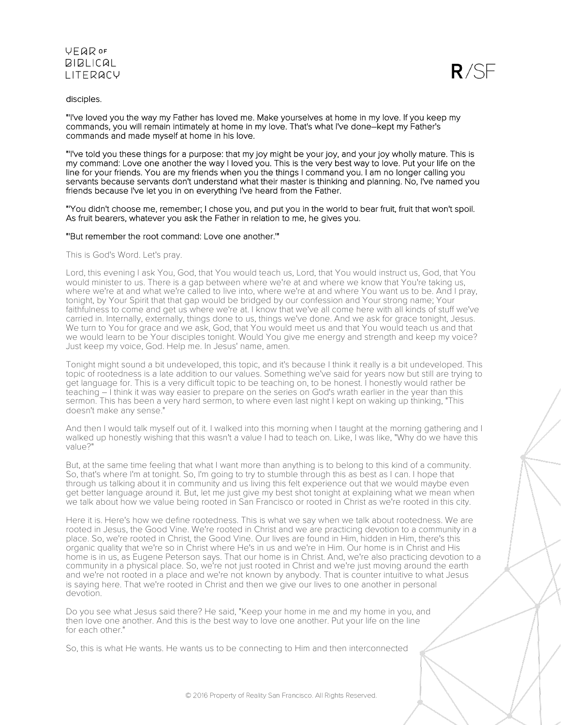### disciples.

 $R/SF$ 

"'I've loved you the way my Father has loved me. Make yourselves at home in my love. If you keep my commands, you will remain intimately at home in my love. That's what I've done–kept my Father's commands and made myself at home in his love.

"'I've told you these things for a purpose: that my joy might be your joy, and your joy wholly mature. This is my command: Love one another the way I loved you. This is the very best way to love. Put your life on the line for your friends. You are my friends when you the things I command you. I am no longer calling you servants because servants don't understand what their master is thinking and planning. No, I've named you friends because I've let you in on everything I've heard from the Father.

"'You didn't choose me, remember; I chose you, and put you in the world to bear fruit, fruit that won't spoil. As fruit bearers, whatever you ask the Father in relation to me, he gives you.

### "'But remember the root command: Love one another.'"

This is God's Word. Let's pray.

Lord, this evening I ask You, God, that You would teach us, Lord, that You would instruct us, God, that You would minister to us. There is a gap between where we're at and where we know that You're taking us, where we're at and what we're called to live into, where we're at and where You want us to be. And I pray, tonight, by Your Spirit that that gap would be bridged by our confession and Your strong name; Your faithfulness to come and get us where we're at. I know that we've all come here with all kinds of stuff we've carried in. Internally, externally, things done to us, things we've done. And we ask for grace tonight, Jesus. We turn to You for grace and we ask, God, that You would meet us and that You would teach us and that we would learn to be Your disciples tonight. Would You give me energy and strength and keep my voice? Just keep my voice, God. Help me. In Jesus' name, amen.

Tonight might sound a bit undeveloped, this topic, and it's because I think it really is a bit undeveloped. This topic of rootedness is a late addition to our values. Something we've said for years now but still are trying to get language for. This is a very difficult topic to be teaching on, to be honest. I honestly would rather be teaching – I think it was way easier to prepare on the series on God's wrath earlier in the year than this sermon. This has been a very hard sermon, to where even last night I kept on waking up thinking, "This doesn't make any sense."

And then I would talk myself out of it. I walked into this morning when I taught at the morning gathering and I walked up honestly wishing that this wasn't a value I had to teach on. Like, I was like, "Why do we have this value?"

But, at the same time feeling that what I want more than anything is to belong to this kind of a community. So, that's where I'm at tonight. So, I'm going to try to stumble through this as best as I can. I hope that through us talking about it in community and us living this felt experience out that we would maybe even get better language around it. But, let me just give my best shot tonight at explaining what we mean when we talk about how we value being rooted in San Francisco or rooted in Christ as we're rooted in this city.

Here it is. Here's how we define rootedness. This is what we say when we talk about rootedness. We are rooted in Jesus, the Good Vine. We're rooted in Christ and we are practicing devotion to a community in a place. So, we're rooted in Christ, the Good Vine. Our lives are found in Him, hidden in Him, there's this organic quality that we're so in Christ where He's in us and we're in Him. Our home is in Christ and His home is in us, as Eugene Peterson says. That our home is in Christ. And, we're also practicing devotion to a community in a physical place. So, we're not just rooted in Christ and we're just moving around the earth and we're not rooted in a place and we're not known by anybody. That is counter intuitive to what Jesus is saying here. That we're rooted in Christ and then we give our lives to one another in personal devotion.

Do you see what Jesus said there? He said, "Keep your home in me and my home in you, and then love one another. And this is the best way to love one another. Put your life on the line for each other."

So, this is what He wants. He wants us to be connecting to Him and then interconnected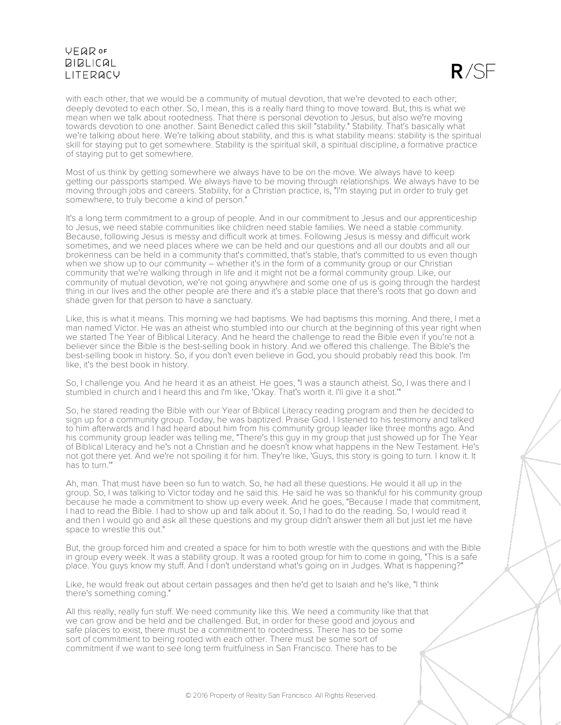

with each other, that we would be a community of mutual devotion, that we're devoted to each other; deeply devoted to each other. So, I mean, this is a really hard thing to move toward. But, this is what we mean when we talk about rootedness. That there is personal devotion to Jesus, but also we're moving towards devotion to one another. Saint Benedict called this skill "stability." Stability. That's basically what we're talking about here. We're talking about stability, and this is what stability means: stability is the spiritual skill for staying put to get somewhere. Stability is the spiritual skill, a spiritual discipline, a formative practice of staying put to get somewhere.

Most of us think by getting somewhere we always have to be on the move. We always have to keep getting our passports stamped. We always have to be moving through relationships. We always have to be moving through jobs and careers. Stability, for a Christian practice, is, "I'm staying put in order to truly get somewhere, to truly become a kind of person."

It's a long term commitment to a group of people. And in our commitment to Jesus and our apprenticeship to Jesus, we need stable communities like children need stable families. We need a stable community. Because, following Jesus is messy and difficult work at times. Following Jesus is messy and difficult work sometimes, and we need places where we can be held and our questions and all our doubts and all our brokenness can be held in a community that's committed, that's stable, that's committed to us even though when we show up to our community  $-$  whether it's in the form of a community group or our Christian community that we're walking through in life and it might not be a formal community group. Like, our community of mutual devotion, we're not going anywhere and some one of us is going through the hardest thing in our lives and the other people are there and it's a stable place that there's roots that go down and shade given for that person to have a sanctuary.

Like, this is what it means. This morning we had baptisms. We had baptisms this morning. And there, I met a man named Victor. He was an atheist who stumbled into our church at the beginning of this year right when we started The Year of Biblical Literacy. And he heard the challenge to read the Bible even if you're not a believer since the Bible is the best-selling book in history. And we offered this challenge. The Bible's the best-selling book in history. So, if you don't even believe in God, you should probably read this book. I'm like, it's the best book in history.

So, I challenge you. And he heard it as an atheist. He goes, "I was a staunch atheist. So, I was there and I stumbled in church and I heard this and I'm like, 'Okay. That's worth it. I'll give it a shot.'"

So, he stared reading the Bible with our Year of Biblical Literacy reading program and then he decided to sign up for a community group. Today, he was baptized. Praise God. I listened to his testimony and talked to him afterwards and I had heard about him from his community group leader like three months ago. And his community group leader was telling me, "There's this guy in my group that just showed up for The Year of Biblical Literacy and he's not a Christian and he doesn't know what happens in the New Testament. He's not got there yet. And we're not spoiling it for him. They're like, 'Guys, this story is going to turn. I know it. It has to turn.'"

Ah, man. That must have been so fun to watch. So, he had all these questions. He would it all up in the group. So, I was talking to Victor today and he said this. He said he was so thankful for his community group because he made a commitment to show up every week. And he goes, "Because I made that commitment, I had to read the Bible. I had to show up and talk about it. So, I had to do the reading. So, I would read it and then I would go and ask all these questions and my group didn't answer them all but just let me have space to wrestle this out."

But, the group forced him and created a space for him to both wrestle with the questions and with the Bible in group every week. It was a stability group. It was a rooted group for him to come in going, "This is a safe place. You guys know my stuff. And I don't understand what's going on in Judges. What is happening?"

Like, he would freak out about certain passages and then he'd get to Isaiah and he's like, "I think there's something coming."

All this really, really fun stuff. We need community like this. We need a community like that that we can grow and be held and be challenged. But, in order for these good and joyous and safe places to exist, there must be a commitment to rootedness. There has to be some sort of commitment to being rooted with each other. There must be some sort of commitment if we want to see long term fruitfulness in San Francisco. There has to be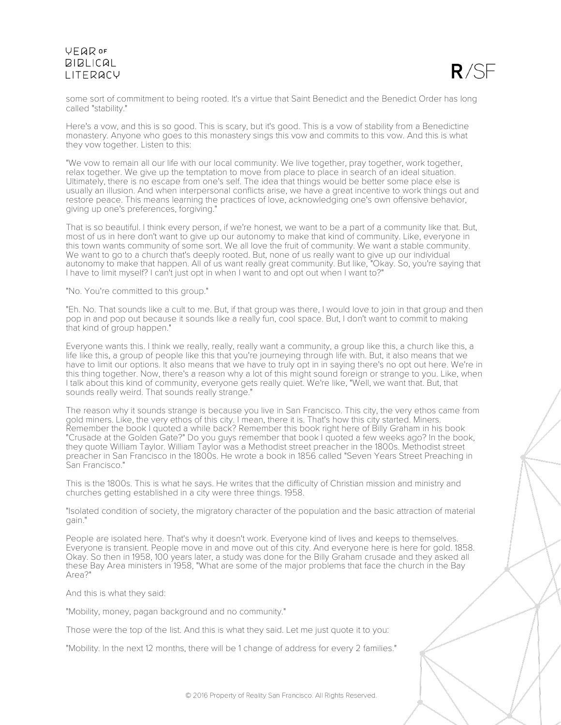

some sort of commitment to being rooted. It's a virtue that Saint Benedict and the Benedict Order has long called "stability."

Here's a vow, and this is so good. This is scary, but it's good. This is a vow of stability from a Benedictine monastery. Anyone who goes to this monastery sings this vow and commits to this vow. And this is what they vow together. Listen to this:

"We vow to remain all our life with our local community. We live together, pray together, work together, relax together. We give up the temptation to move from place to place in search of an ideal situation. Ultimately, there is no escape from one's self. The idea that things would be better some place else is usually an illusion. And when interpersonal conflicts arise, we have a great incentive to work things out and restore peace. This means learning the practices of love, acknowledging one's own offensive behavior, giving up one's preferences, forgiving."

That is so beautiful. I think every person, if we're honest, we want to be a part of a community like that. But, most of us in here don't want to give up our autonomy to make that kind of community. Like, everyone in this town wants community of some sort. We all love the fruit of community. We want a stable community. We want to go to a church that's deeply rooted. But, none of us really want to give up our individual autonomy to make that happen. All of us want really great community. But like, "Okay. So, you're saying that I have to limit myself? I can't just opt in when I want to and opt out when I want to?"

"No. You're committed to this group."

"Eh. No. That sounds like a cult to me. But, if that group was there, I would love to join in that group and then pop in and pop out because it sounds like a really fun, cool space. But, I don't want to commit to making that kind of group happen."

Everyone wants this. I think we really, really, really want a community, a group like this, a church like this, a life like this, a group of people like this that you're journeying through life with. But, it also means that we have to limit our options. It also means that we have to truly opt in in saying there's no opt out here. We're in this thing together. Now, there's a reason why a lot of this might sound foreign or strange to you. Like, when I talk about this kind of community, everyone gets really quiet. We're like, "Well, we want that. But, that sounds really weird. That sounds really strange."

The reason why it sounds strange is because you live in San Francisco. This city, the very ethos came from gold miners. Like, the very ethos of this city. I mean, there it is. That's how this city started. Miners. Remember the book I quoted a while back? Remember this book right here of Billy Graham in his book "Crusade at the Golden Gate?" Do you guys remember that book I quoted a few weeks ago? In the book, they quote William Taylor. William Taylor was a Methodist street preacher in the 1800s. Methodist street preacher in San Francisco in the 1800s. He wrote a book in 1856 called "Seven Years Street Preaching in San Francisco."

This is the 1800s. This is what he says. He writes that the difficulty of Christian mission and ministry and churches getting established in a city were three things. 1958.

"Isolated condition of society, the migratory character of the population and the basic attraction of material gain."

People are isolated here. That's why it doesn't work. Everyone kind of lives and keeps to themselves. Everyone is transient. People move in and move out of this city. And everyone here is here for gold. 1858. Okay. So then in 1958, 100 years later, a study was done for the Billy Graham crusade and they asked all these Bay Area ministers in 1958, "What are some of the major problems that face the church in the Bay Area?"

And this is what they said:

"Mobility, money, pagan background and no community."

Those were the top of the list. And this is what they said. Let me just quote it to you:

"Mobility. In the next 12 months, there will be 1 change of address for every 2 families."

© 2016 Property of Reality San Francisco. All Rights Reserved.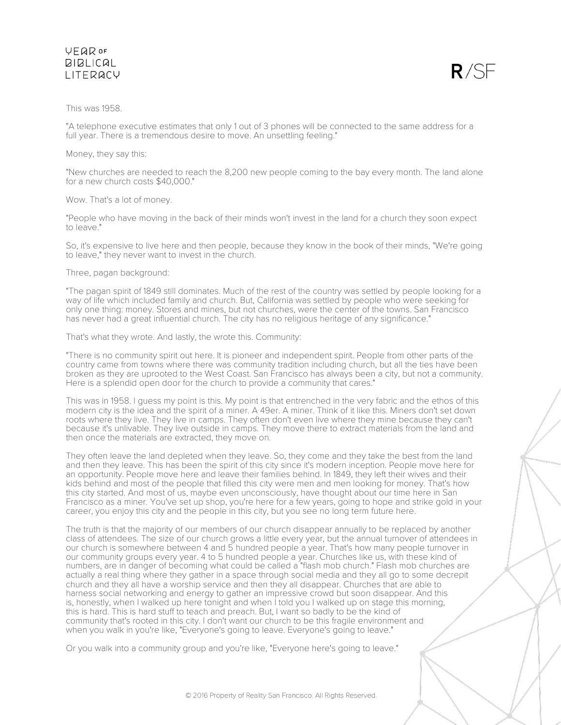

### This was 1958.

"A telephone executive estimates that only 1 out of 3 phones will be connected to the same address for a full year. There is a tremendous desire to move. An unsettling feeling."

### Money, they say this:

"New churches are needed to reach the 8,200 new people coming to the bay every month. The land alone for a new church costs \$40,000."

### Wow. That's a lot of money.

"People who have moving in the back of their minds won't invest in the land for a church they soon expect to leave."

So, it's expensive to live here and then people, because they know in the book of their minds, "We're going to leave," they never want to invest in the church.

#### Three, pagan background:

"The pagan spirit of 1849 still dominates. Much of the rest of the country was settled by people looking for a way of life which included family and church. But, California was settled by people who were seeking for only one thing: money. Stores and mines, but not churches, were the center of the towns. San Francisco has never had a great influential church. The city has no religious heritage of any significance."

### That's what they wrote. And lastly, the wrote this. Community:

"There is no community spirit out here. It is pioneer and independent spirit. People from other parts of the country came from towns where there was community tradition including church, but all the ties have been broken as they are uprooted to the West Coast. San Francisco has always been a city, but not a community. Here is a splendid open door for the church to provide a community that cares."

This was in 1958. I guess my point is this. My point is that entrenched in the very fabric and the ethos of this modern city is the idea and the spirit of a miner. A 49er. A miner. Think of it like this. Miners don't set down roots where they live. They live in camps. They often don't even live where they mine because they can't because it's unlivable. They live outside in camps. They move there to extract materials from the land and then once the materials are extracted, they move on.

They often leave the land depleted when they leave. So, they come and they take the best from the land and then they leave. This has been the spirit of this city since it's modern inception. People move here for an opportunity. People move here and leave their families behind. In 1849, they left their wives and their kids behind and most of the people that filled this city were men and men looking for money. That's how this city started. And most of us, maybe even unconsciously, have thought about our time here in San Francisco as a miner. You've set up shop, you're here for a few years, going to hope and strike gold in your career, you enjoy this city and the people in this city, but you see no long term future here.

The truth is that the majority of our members of our church disappear annually to be replaced by another class of attendees. The size of our church grows a little every year, but the annual turnover of attendees in our church is somewhere between 4 and 5 hundred people a year. That's how many people turnover in our community groups every year. 4 to 5 hundred people a year. Churches like us, with these kind of numbers, are in danger of becoming what could be called a "flash mob church." Flash mob churches are actually a real thing where they gather in a space through social media and they all go to some decrepit church and they all have a worship service and then they all disappear. Churches that are able to harness social networking and energy to gather an impressive crowd but soon disappear. And this is, honestly, when I walked up here tonight and when I told you I walked up on stage this morning, this is hard. This is hard stuff to teach and preach. But, I want so badly to be the kind of community that's rooted in this city. I don't want our church to be this fragile environment and when you walk in you're like, "Everyone's going to leave. Everyone's going to leave."

Or you walk into a community group and you're like, "Everyone here's going to leave."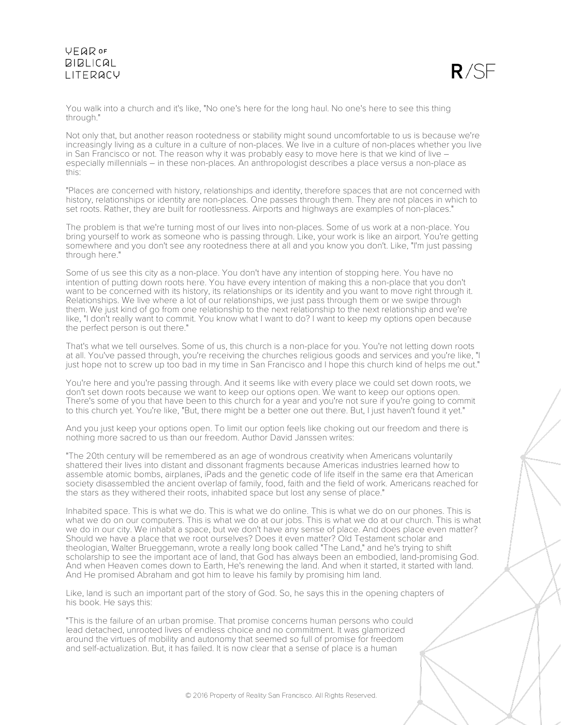

You walk into a church and it's like, "No one's here for the long haul. No one's here to see this thing through."

Not only that, but another reason rootedness or stability might sound uncomfortable to us is because we're increasingly living as a culture in a culture of non-places. We live in a culture of non-places whether you live in San Francisco or not. The reason why it was probably easy to move here is that we kind of live – especially millennials – in these non-places. An anthropologist describes a place versus a non-place as this:

"Places are concerned with history, relationships and identity, therefore spaces that are not concerned with history, relationships or identity are non-places. One passes through them. They are not places in which to set roots. Rather, they are built for rootlessness. Airports and highways are examples of non-places."

The problem is that we're turning most of our lives into non-places. Some of us work at a non-place. You bring yourself to work as someone who is passing through. Like, your work is like an airport. You're getting somewhere and you don't see any rootedness there at all and you know you don't. Like, "I'm just passing through here."

Some of us see this city as a non-place. You don't have any intention of stopping here. You have no intention of putting down roots here. You have every intention of making this a non-place that you don't want to be concerned with its history, its relationships or its identity and you want to move right through it. Relationships. We live where a lot of our relationships, we just pass through them or we swipe through them. We just kind of go from one relationship to the next relationship to the next relationship and we're like, "I don't really want to commit. You know what I want to do? I want to keep my options open because the perfect person is out there."

That's what we tell ourselves. Some of us, this church is a non-place for you. You're not letting down roots at all. You've passed through, you're receiving the churches religious goods and services and you're like, "I just hope not to screw up too bad in my time in San Francisco and I hope this church kind of helps me out."

You're here and you're passing through. And it seems like with every place we could set down roots, we don't set down roots because we want to keep our options open. We want to keep our options open. There's some of you that have been to this church for a year and you're not sure if you're going to commit to this church yet. You're like, "But, there might be a better one out there. But, I just haven't found it yet."

And you just keep your options open. To limit our option feels like choking out our freedom and there is nothing more sacred to us than our freedom. Author David Janssen writes:

"The 20th century will be remembered as an age of wondrous creativity when Americans voluntarily shattered their lives into distant and dissonant fragments because Americas industries learned how to assemble atomic bombs, airplanes, iPads and the genetic code of life itself in the same era that American society disassembled the ancient overlap of family, food, faith and the field of work. Americans reached for the stars as they withered their roots, inhabited space but lost any sense of place."

Inhabited space. This is what we do. This is what we do online. This is what we do on our phones. This is what we do on our computers. This is what we do at our jobs. This is what we do at our church. This is what we do in our city. We inhabit a space, but we don't have any sense of place. And does place even matter? Should we have a place that we root ourselves? Does it even matter? Old Testament scholar and theologian, Walter Brueggemann, wrote a really long book called "The Land," and he's trying to shift scholarship to see the important ace of land, that God has always been an embodied, land-promising God. And when Heaven comes down to Earth, He's renewing the land. And when it started, it started with land. And He promised Abraham and got him to leave his family by promising him land.

Like, land is such an important part of the story of God. So, he says this in the opening chapters of his book. He says this:

"This is the failure of an urban promise. That promise concerns human persons who could lead detached, unrooted lives of endless choice and no commitment. It was glamorized around the virtues of mobility and autonomy that seemed so full of promise for freedom and self-actualization. But, it has failed. It is now clear that a sense of place is a human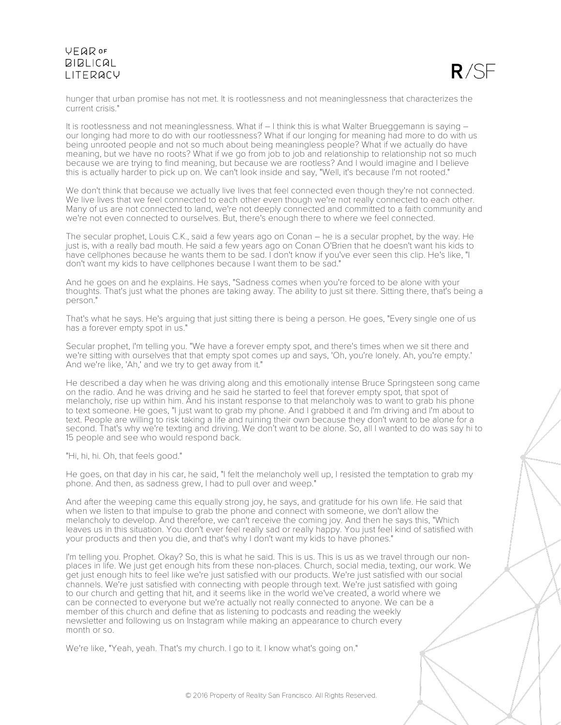

hunger that urban promise has not met. It is rootlessness and not meaninglessness that characterizes the current crisis."

It is rootlessness and not meaninglessness. What if – I think this is what Walter Brueggemann is saying – our longing had more to do with our rootlessness? What if our longing for meaning had more to do with us being unrooted people and not so much about being meaningless people? What if we actually do have meaning, but we have no roots? What if we go from job to job and relationship to relationship not so much because we are trying to find meaning, but because we are rootless? And I would imagine and I believe this is actually harder to pick up on. We can't look inside and say, "Well, it's because I'm not rooted."

We don't think that because we actually live lives that feel connected even though they're not connected. We live lives that we feel connected to each other even though we're not really connected to each other. Many of us are not connected to land, we're not deeply connected and committed to a faith community and we're not even connected to ourselves. But, there's enough there to where we feel connected.

The secular prophet, Louis C.K., said a few years ago on Conan – he is a secular prophet, by the way. He just is, with a really bad mouth. He said a few years ago on Conan O'Brien that he doesn't want his kids to have cellphones because he wants them to be sad. I don't know if you've ever seen this clip. He's like, "I don't want my kids to have cellphones because I want them to be sad."

And he goes on and he explains. He says, "Sadness comes when you're forced to be alone with your thoughts. That's just what the phones are taking away. The ability to just sit there. Sitting there, that's being a person."

That's what he says. He's arguing that just sitting there is being a person. He goes, "Every single one of us has a forever empty spot in us."

Secular prophet, I'm telling you. "We have a forever empty spot, and there's times when we sit there and we're sitting with ourselves that that empty spot comes up and says, 'Oh, you're lonely. Ah, you're empty.' And we're like, 'Ah,' and we try to get away from it."

He described a day when he was driving along and this emotionally intense Bruce Springsteen song came on the radio. And he was driving and he said he started to feel that forever empty spot, that spot of melancholy, rise up within him. And his instant response to that melancholy was to want to grab his phone to text someone. He goes, "I just want to grab my phone. And I grabbed it and I'm driving and I'm about to text. People are willing to risk taking a life and ruining their own because they don't want to be alone for a second. That's why we're texting and driving. We don't want to be alone. So, all I wanted to do was say hi to 15 people and see who would respond back.

"Hi, hi, hi. Oh, that feels good."

He goes, on that day in his car, he said, "I felt the melancholy well up, I resisted the temptation to grab my phone. And then, as sadness grew, I had to pull over and weep."

And after the weeping came this equally strong joy, he says, and gratitude for his own life. He said that when we listen to that impulse to grab the phone and connect with someone, we don't allow the melancholy to develop. And therefore, we can't receive the coming joy. And then he says this, "Which leaves us in this situation. You don't ever feel really sad or really happy. You just feel kind of satisfied with your products and then you die, and that's why I don't want my kids to have phones."

I'm telling you. Prophet. Okay? So, this is what he said. This is us. This is us as we travel through our nonplaces in life. We just get enough hits from these non-places. Church, social media, texting, our work. We get just enough hits to feel like we're just satisfied with our products. We're just satisfied with our social channels. We're just satisfied with connecting with people through text. We're just satisfied with going to our church and getting that hit, and it seems like in the world we've created, a world where we can be connected to everyone but we're actually not really connected to anyone. We can be a member of this church and define that as listening to podcasts and reading the weekly newsletter and following us on Instagram while making an appearance to church every month or so.

We're like, "Yeah, yeah. That's my church. I go to it. I know what's going on."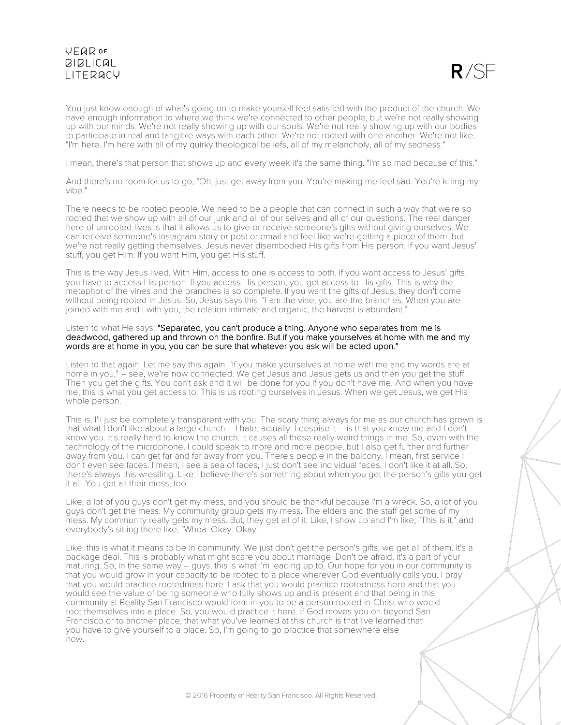

You just know enough of what's going on to make yourself feel satisfied with the product of the church. We have enough information to where we think we're connected to other people, but we're not really showing up with our minds. We're not really showing up with our souls. We're not really showing up with our bodies to participate in real and tangible ways with each other. We're not rooted with one another. We're not like, "I'm here. I'm here with all of my quirky theological beliefs, all of my melancholy, all of my sadness."

I mean, there's that person that shows up and every week it's the same thing. "I'm so mad because of this."

And there's no room for us to go, "Oh, just get away from you. You're making me feel sad. You're killing my vibe."

There needs to be rooted people. We need to be a people that can connect in such a way that we're so rooted that we show up with all of our junk and all of our selves and all of our questions. The real danger here of unrooted lives is that it allows us to give or receive someone's gifts without giving ourselves. We can receive someone's Instagram story or post or email and feel like we're getting a piece of them, but we're not really getting themselves. Jesus never disembodied His gifts from His person. If you want Jesus' stuff, you get Him. If you want Him, you get His stuff.

This is the way Jesus lived. With Him, access to one is access to both. If you want access to Jesus' gifts, you have to access His person. If you access His person, you get access to His gifts. This is why the metaphor of the vines and the branches is so complete. If you want the gifts of Jesus, they don't come without being rooted in Jesus. So, Jesus says this: "I am the vine, you are the branches. When you are joined with me and I with you, the relation intimate and organic, the harvest is abundant."

#### Listen to what He says: "Separated, you can't produce a thing. Anyone who separates from me is deadwood, gathered up and thrown on the bonfire. But if you make yourselves at home with me and my words are at home in you, you can be sure that whatever you ask will be acted upon."

Listen to that again. Let me say this again. "If you make yourselves at home with me and my words are at home in you," – see, we're now connected. We get Jesus and Jesus gets us and then you get the stuff. Then you get the gifts. You can't ask and it will be done for you if you don't have me. And when you have me, this is what you get access to. This is us rooting ourselves in Jesus. When we get Jesus, we get His whole person.

This is, I'll just be completely transparent with you. The scary thing always for me as our church has grown is that what I don't like about a large church – I hate, actually. I despise it – is that you know me and I don't know you. It's really hard to know the church. It causes all these really weird things in me. So, even with the technology of the microphone, I could speak to more and more people, but I also get further and further away from you. I can get far and far away from you. There's people in the balcony. I mean, first service I don't even see faces. I mean, I see a sea of faces, I just don't see individual faces. I don't like it at all. So, there's always this wrestling. Like I believe there's something about when you get the person's gifts you get it all. You get all their mess, too.

Like, a lot of you guys don't get my mess, and you should be thankful because I'm a wreck. So, a lot of you guys don't get the mess. My community group gets my mess. The elders and the staff get some of my mess. My community really gets my mess. But, they get all of it. Like, I show up and I'm like, "This is it," and everybody's sitting there like, "Whoa. Okay. Okay."

Like, this is what it means to be in community. We just don't get the person's gifts; we get all of them. It's a package deal. This is probably what might scare you about marriage. Don't be afraid, it's a part of your maturing. So, in the same way – guys, this is what I'm leading up to. Our hope for you in our community is that you would grow in your capacity to be rooted to a place wherever God eventually calls you. I pray that you would practice rootedness here. I ask that you would practice rootedness here and that you would see the value of being someone who fully shows up and is present and that being in this community at Reality San Francisco would form in you to be a person rooted in Christ who would root themselves into a place. So, you would practice it here. If God moves you on beyond San Francisco or to another place, that what you've learned at this church is that I've learned that you have to give yourself to a place. So, I'm going to go practice that somewhere else now.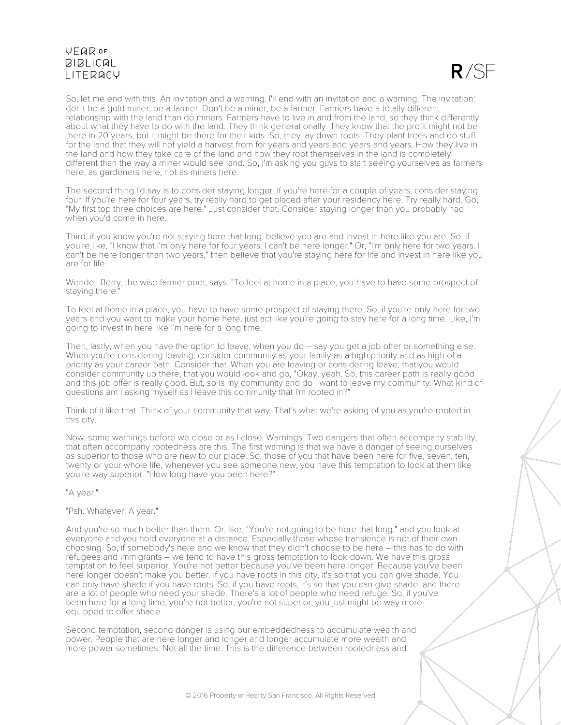

So, let me end with this. An invitation and a warning. I'll end with an invitation and a warning. The invitation: don't be a gold miner, be a farmer. Don't be a miner, be a farmer. Farmers have a totally different relationship with the land than do miners. Farmers have to live in and from the land, so they think differently about what they have to do with the land. They think generationally. They know that the profit might not be there in 20 years, but it might be there for their kids. So, they lay down roots. They plant trees and do stuff for the land that they will not yield a harvest from for years and years and years and years. How they live in the land and how they take care of the land and how they root themselves in the land is completely different than the way a miner would see land. So, I'm asking you guys to start seeing yourselves as farmers here, as gardeners here, not as miners here.

The second thing I'd say is to consider staying longer. If you're here for a couple of years, consider staying four. If you're here for four years, try really hard to get placed after your residency here. Try really hard. Go, "My first top three choices are here." Just consider that. Consider staying longer than you probably had when you'd come in here.

Third, if you know you're not staying here that long, believe you are and invest in here like you are. So, if you're like, "I know that I'm only here for four years. I can't be here longer." Or, "I'm only here for two years. I can't be here longer than two years," then believe that you're staying here for life and invest in here like you are for life.

Wendell Berry, the wise farmer poet, says, "To feel at home in a place, you have to have some prospect of staying there."

To feel at home in a place, you have to have some prospect of staying there. So, if you're only here for two years and you want to make your home here, just act like you're going to stay here for a long time. Like, I'm going to invest in here like I'm here for a long time.

Then, lastly, when you have the option to leave, when you do – say you get a job offer or something else. When you're considering leaving, consider community as your family as a high priority and as high of a priority as your career path. Consider that. When you are leaving or considering leave, that you would consider community up there, that you would look and go, "Okay, yeah. So, this career path is really good and this job offer is really good. But, so is my community and do I want to leave my community. What kind of questions am I asking myself as I leave this community that I'm rooted in?"

Think of it like that. Think of your community that way. That's what we're asking of you as you're rooted in this city.

Now, some warnings before we close or as I close. Warnings. Two dangers that often accompany stability, that often accompany rootedness are this. The first warning is that we have a danger of seeing ourselves as superior to those who are new to our place. So, those of you that have been here for five, seven, ten, twenty or your whole life, whenever you see someone new, you have this temptation to look at them like you're way superior. "How long have you been here?"

"A year."

"Psh. Whatever. A year."

And you're so much better than them. Or, like, "You're not going to be here that long," and you look at everyone and you hold everyone at a distance. Especially those whose transience is not of their own choosing. So, if somebody's here and we know that they didn't choose to be here – this has to do with refugees and immigrants – we tend to have this gross temptation to look down. We have this gross temptation to feel superior. You're not better because you've been here longer. Because you've been here longer doesn't make you better. If you have roots in this city, it's so that you can give shade. You can only have shade if you have roots. So, if you have roots, it's so that you can give shade, and there are a lot of people who need your shade. There's a lot of people who need refuge. So, if you've been here for a long time, you're not better, you're not superior, you just might be way more equipped to offer shade.

Second temptation, second danger is using our embeddedness to accumulate wealth and power. People that are here longer and longer and longer accumulate more wealth and more power sometimes. Not all the time. This is the difference between rootedness and